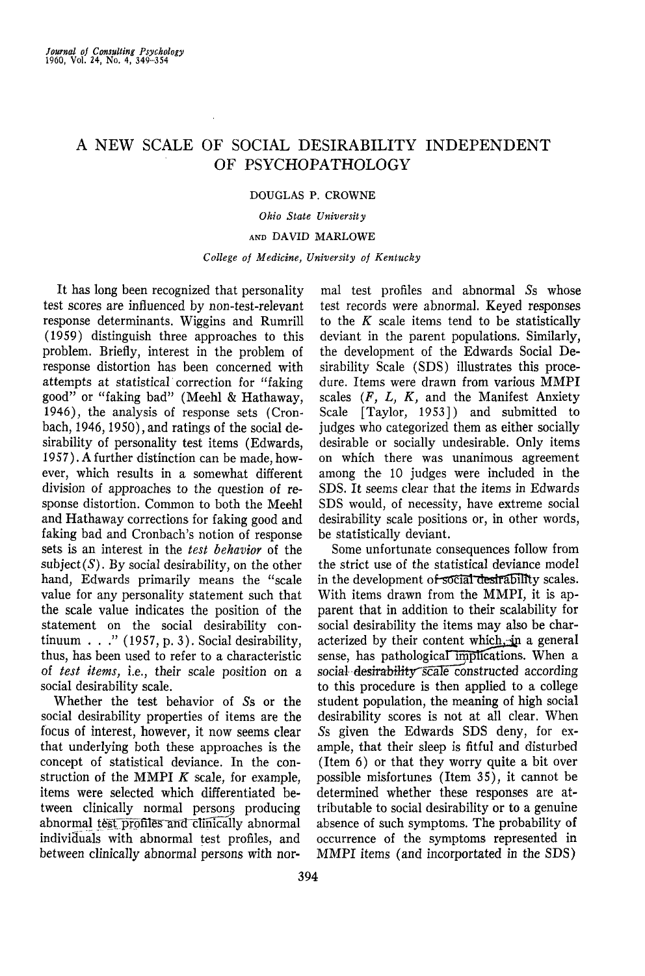# A NEW SCALE OF SOCIAL DESIRABILITY INDEPENDENT OF PSYCHOPATHOLOGY

## DOUGLAS P. CROWNE

### *Ohio State University*

## AND DAVID MARLOWE

## *College of Medicine, University of Kentucky*

It has long been recognized that personality test scores are influenced by non-test-relevant response determinants. Wiggins and Rumrill (1959) distinguish three approaches to this problem. Briefly, interest in the problem of response distortion has been concerned with attempts at statistical correction for "faking good" or "faking bad" (Meehl & Hathaway, 1946), the analysis of response sets (Cronbach, 1946,1950), and ratings of the social desirability of personality test items (Edwards, 1957). A further distinction can be made, however, which results in a somewhat different division of approaches to the question of response distortion. Common to both the Meehl and Hathaway corrections for faking good and faking bad and Cronbach's notion of response sets is an interest in the *test behavior* of the  $subject(S)$ . By social desirability, on the other hand, Edwards primarily means the "scale value for any personality statement such that the scale value indicates the position of the statement on the social desirability continuum . . . "  $(1957, p. 3)$ . Social desirability, thus, has been used to refer to a characteristic of *test items,* i.e., their scale position on a social desirability scale.

Whether the test behavior of 5s or the social desirability properties of items are the focus of interest, however, it now seems clear that underlying both these approaches is the concept of statistical deviance. In the construction of the MMPI *K* scale, for example, items were selected which differentiated between clinically normal persons producing abnormal test profiles and clinically abnormal individuals with abnormal test profiles, and between clinically abnormal persons with nor-

mal test profiles and abnormal 5s whose test records were abnormal. Keyed responses to the *K* scale items tend to be statistically deviant in the parent populations. Similarly, the development of the Edwards Social Desirability Scale (SDS) illustrates this procedure. Items were drawn from various MMPI scales *(F, L, K,* and the Manifest Anxiety Scale [Taylor, 1953]) and submitted to judges who categorized them as either socially desirable or socially undesirable. Only items on which there was unanimous agreement among the 10 judges were included in the SDS. It seems clear that the items in Edwards SDS would, of necessity, have extreme social desirability scale positions or, in other words, be statistically deviant.

Some unfortunate consequences follow from the strict use of the statistical deviance model in the development of social desirability scales. With items drawn from the MMPI, it is apparent that in addition to their scalability for social desirability the items may also be characterized by their content which, in a general sense, has pathological implications. When a social desirability scale constructed according to this procedure is then applied to a college student population, the meaning of high social desirability scores is not at all clear. When 5s given the Edwards SDS deny, for example, that their sleep is fitful and disturbed (Item 6) or that they worry quite a bit over possible misfortunes (Item 35), it cannot be determined whether these responses are attributable to social desirability or to a genuine absence of such symptoms. The probability of occurrence of the symptoms represented in MMPI items (and incorportated in the SDS)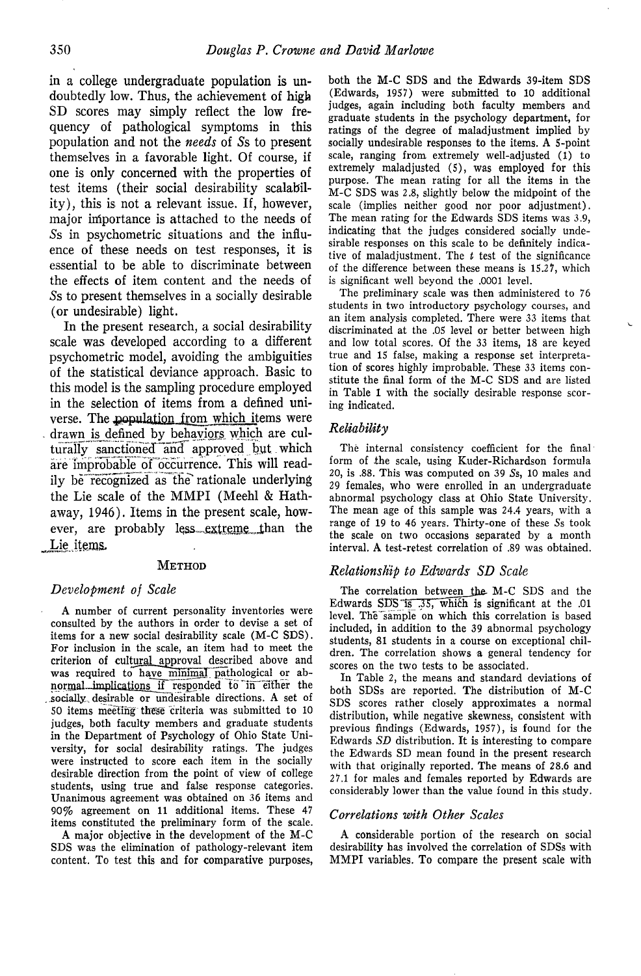in a college undergraduate population is undoubtedly low. Thus, the achievement of high SD scores may simply reflect the low frequency of pathological symptoms in this population and not the *needs* of 5s to present themselves in a favorable light. Of course, if one is only concerned with the properties of test items (their social desirability scalability), this is not a relevant issue. If, however, major importance is attached to the needs of 5s in psychometric situations and the influence of these needs on test responses, it is essential to be able to discriminate between the effects of item content and the needs of 5s to present themselves in a socially desirable (or undesirable) light.

In the present research, a social desirabih'ty scale was developed according to a different psychometric model, avoiding the ambiguities of the statistical deviance approach. Basic to this model is the sampling procedure employed in the selection of items from a defined universe. The population from which items were drawn is defined by behaviors which are culturally sanctioned and approved but which are improbable of occurrence. This will readily be recognized as the rationale underlying the Lie scale of the MMPI (Meehl & Hathaway, 1946). Items in the present scale, however, are probably less. extreme than the Lie items.

#### METHOD

#### *Development of Scale*

A number of current personality inventories were consulted by the authors in order to devise a set of items for a new social desirability scale (M-C SDS). For inclusion in the scale, an item had to meet the criterion of cultural approval described above and was required to have minimal pathological or abnormal\_implications if responded to in either the ..socially,desirable or undesirable directions. A set of 50 items meeting these criteria was submitted to 10 judges, both faculty members and graduate students in the Department of Psychology of Ohio State University, for social desirability ratings. The judges were instructed to score each item in the socially desirable direction from the point of view of college students, using true and false response categories. Unanimous agreement was obtained on 36 items and 90% agreement on 11 additional items. These 47 items constituted the preliminary form of the scale.

A major objective in the development of the M-C SDS was the elimination of pathology-relevant item content. To test this and for comparative purposes, both the M-C SDS and the Edwards 39-item SDS (Edwards, 1957) were submitted to 10 additional judges, again including both faculty members and graduate students in the psychology department, for ratings of the degree of maladjustment implied by socially undesirable responses to the items. A 5-point scale, ranging from extremely well-adjusted (1) to extremely maladjusted (5), was employed for this purpose. The mean rating for all the items in the M-C SDS was 2.8, slightly below the midpoint of the scale (implies neither good nor poor adjustment). The mean rating for the Edwards SDS items was 3.9, indicating that the judges considered socially undesirable responses on this scale to be definitely indicative of maladjustment. The *t* test of the significance of the difference between these means is 15.27, which is significant well beyond the .0001 level.

The preliminary scale was then administered to 76 students in two introductory psychology courses, and an item analysis completed. There were 33 items that discriminated at the .05 level or better between high and low total scores. Of the 33 items, 18 are keyed true and 15 false, making a response set interpretation of scores highly improbable. These 33 items constitute the final form of the M-C SDS and are listed in Table 1 with the socially desirable response scoring indicated.

### *Reliability*

The internal consistency coefficient for the final form of the scale, using Kuder-Richardson formula 20, is .88. This was computed on 39 5s, 10 males and 29 females, who were enrolled in an undergraduate abnormal psychology class at Ohio State University. The mean age of this sample was 24.4 years, with a range of 19 to 46 years. Thirty-one of these Ss took the scale on two occasions separated by a month interval. A test-retest correlation of .89 was obtained.

#### *Relationship to Edwards SD Scale*

The correlation between the M-C SDS and the Edwards SDS is  $.35$ , which is significant at the .01 level. The sample on which this correlation is based included, in addition to the 39 abnormal psychology students, 81 students in a course on exceptional children. The correlation shows a general tendency for scores on the two tests to be associated.

In Table 2, the means and standard deviations of both SDSs are reported. The distribution of M-C SDS scores rather closely approximates a normal distribution, while negative skewness, consistent with previous findings (Edwards, 1957), is found for the Edwards SD distribution. It is interesting to compare the Edwards SD mean found in the present research with that originally reported. The means of 28.6 and 27.1 for males and females reported by Edwards are considerably lower than the value found in this study.

#### *Correlations with Other Scales*

A considerable portion of the research on social desirability has involved the correlation of SDSs with MMPI variables. To compare the present scale with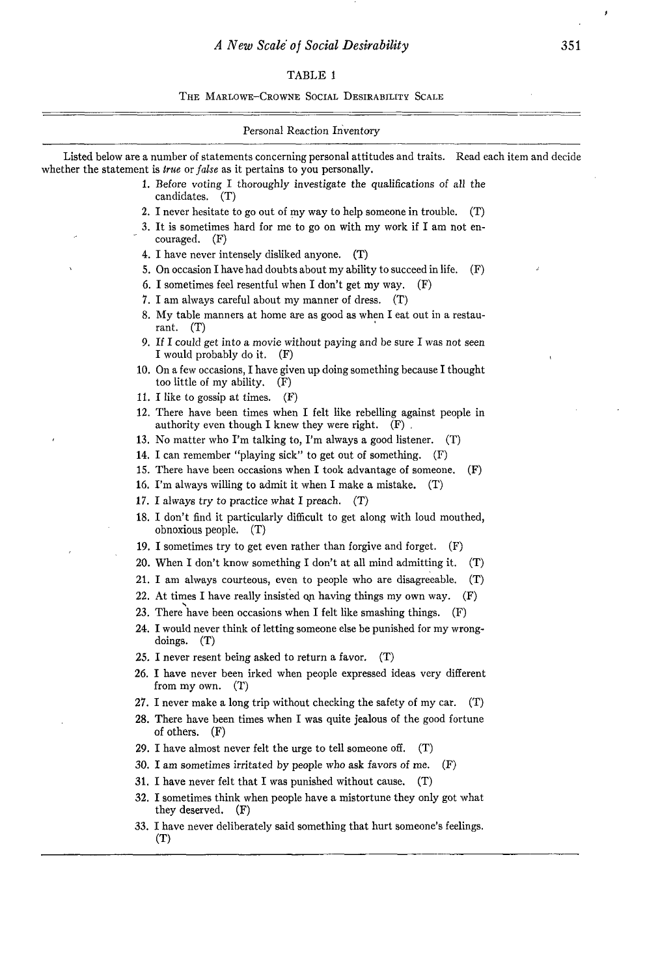$\sim$ 

# TABLE 1

THE MARLOWE-CROWNE SOCIAL DESIRABILITY SCALE

| Personal Reaction Inventory                                                                                                                                                                           |  |  |  |  |
|-------------------------------------------------------------------------------------------------------------------------------------------------------------------------------------------------------|--|--|--|--|
| Listed below are a number of statements concerning personal attitudes and traits. Read each item and decide<br>whether the statement is <i>true</i> or <i>false</i> as it pertains to you personally. |  |  |  |  |
| 1. Before voting I thoroughly investigate the qualifications of all the<br>candidates. (T)                                                                                                            |  |  |  |  |
| 2. I never hesitate to go out of my way to help someone in trouble.<br>(T)                                                                                                                            |  |  |  |  |
| 3. It is sometimes hard for me to go on with my work if I am not en-<br>couraged.<br>(F)                                                                                                              |  |  |  |  |
| 4. I have never intensely disliked anyone.<br>(T)                                                                                                                                                     |  |  |  |  |
| 5. On occasion I have had doubts about my ability to succeed in life.<br>(F)                                                                                                                          |  |  |  |  |
| 6. I sometimes feel resentful when I don't get my way.<br>(F)                                                                                                                                         |  |  |  |  |
| 7. I am always careful about my manner of dress. (T)                                                                                                                                                  |  |  |  |  |
| 8. My table manners at home are as good as when I eat out in a restau-<br>rant. $(T)$                                                                                                                 |  |  |  |  |
| 9. If I could get into a movie without paying and be sure I was not seen<br>I would probably do it.<br>(F)                                                                                            |  |  |  |  |
| 10. On a few occasions, I have given up doing something because I thought<br>too little of my ability. (F)                                                                                            |  |  |  |  |
| 11. I like to gossip at times. $(F)$                                                                                                                                                                  |  |  |  |  |
| 12. There have been times when I felt like rebelling against people in<br>authority even though I knew they were right. $(F)$                                                                         |  |  |  |  |
| 13. No matter who I'm talking to, I'm always a good listener.<br>(T)                                                                                                                                  |  |  |  |  |
| 14. I can remember "playing sick" to get out of something.<br>(F)                                                                                                                                     |  |  |  |  |
| 15. There have been occasions when I took advantage of someone.<br>(F)                                                                                                                                |  |  |  |  |
| 16. I'm always willing to admit it when I make a mistake.<br>(T)                                                                                                                                      |  |  |  |  |
| 17. I always try to practice what I preach. $(T)$                                                                                                                                                     |  |  |  |  |
| 18. I don't find it particularly difficult to get along with loud mouthed,<br>obnoxious people.<br>(T)                                                                                                |  |  |  |  |
| 19. I sometimes try to get even rather than forgive and forget.<br>(F)                                                                                                                                |  |  |  |  |
| 20. When I don't know something I don't at all mind admitting it.<br>$(\mathbf{T})$                                                                                                                   |  |  |  |  |
| 21. I am always courteous, even to people who are disagreeable.<br>(T)                                                                                                                                |  |  |  |  |
| 22. At times I have really insisted on having things my own way.<br>(F)                                                                                                                               |  |  |  |  |
| 23. There have been occasions when I felt like smashing things. (F)                                                                                                                                   |  |  |  |  |
| 24. I would never think of letting someone else be punished for my wrong-<br>doings. $(T)$                                                                                                            |  |  |  |  |
| 25. I never resent being asked to return a favor.<br>(T)                                                                                                                                              |  |  |  |  |
| 26. I have never been irked when people expressed ideas very different<br>from my own. $(T)$                                                                                                          |  |  |  |  |
| 27. I never make a long trip without checking the safety of my car.<br>(T)                                                                                                                            |  |  |  |  |
| 28. There have been times when I was quite jealous of the good fortune<br>of others. $(F)$                                                                                                            |  |  |  |  |
| 29. I have almost never felt the urge to tell someone off.<br>(T)                                                                                                                                     |  |  |  |  |
| 30. I am sometimes irritated by people who ask favors of me.<br>(F)                                                                                                                                   |  |  |  |  |
| 31. I have never felt that I was punished without cause.<br>(T)                                                                                                                                       |  |  |  |  |
| 32. I sometimes think when people have a mistortune they only got what<br>they deserved.<br>(F)                                                                                                       |  |  |  |  |
| 33. I have never deliberately said something that hurt someone's feelings.<br>(T)                                                                                                                     |  |  |  |  |

 $\pmb{\star}$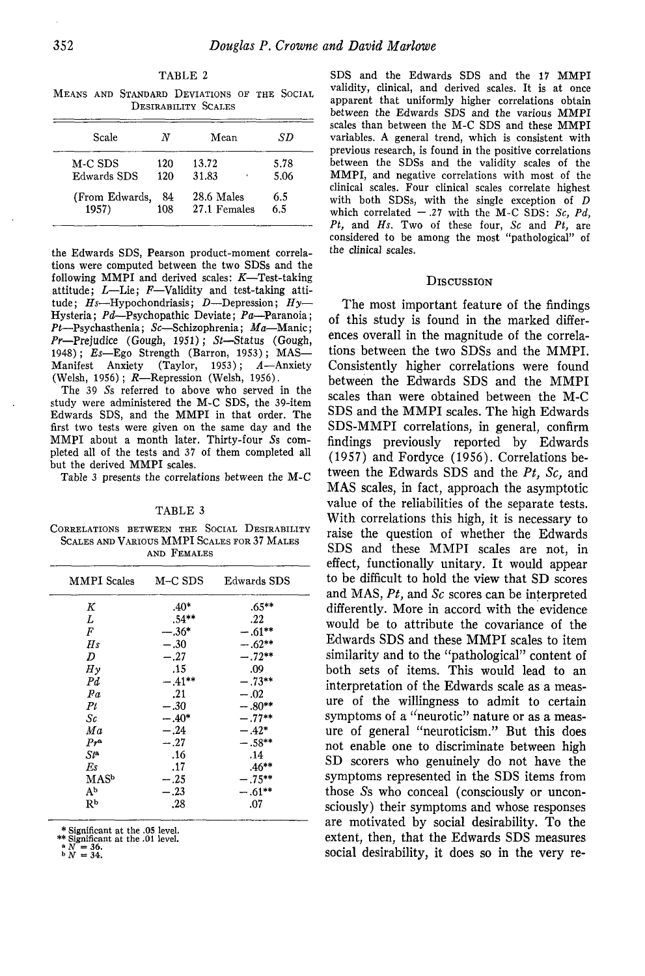TABLE 2 MEANS AND STANDARD DEVIATIONS OF THE SOCIAL

| DESIRABILITY SCALES |     |              |      |  |
|---------------------|-----|--------------|------|--|
| Scale               | N   | Mean         | SD   |  |
| M-C SDS             | 120 | 13.72        | 5.78 |  |
| Edwards SDS         | 120 | 31.83        | 5.06 |  |
| (From Edwards,      | 84  | 28.6 Males   | 6.5  |  |
| 1957)               | 108 | 27.1 Females | 6.5  |  |

the Edwards SDS, Pearson product-moment correlations were computed between the two SDSs and the following MMPI and derived scales: *K*—Test-taking attitude; *L*—Lie; *F*—Validity and test-taking attitude; *Hs—*Hypochondriasis; *D*—Depression; *Hy*— Hysteria; *Pd—*Psychopathic Deviate; *Pa*—Paranoia; *Pt*—Psychasthenia; *Sc*—Schizophrenia; *Ma*—Manic; *Pr—*Prejudice (Gough, 1951); *St—*Status (Gough, 1948); *Es*—Ego Strength (Barron, 1953); MAS—<br>Manifest Anxiety (Taylor, 1953); *A*—Anxiety Manifest Anxiety (Taylor, 1953); *A—*Anxiety (Welsh, 1956); *R—*Repression (Welsh, 1956).

The 39 5s referred to above who served in the study were administered the M-C SDS, the 39-item Edwards SDS, and the MMPI in that order. The first two tests were given on the same day and the MMPI about a month later. Thirty-four Ss completed all of the tests and 37 of them completed all but the derived MMPI scales.

Table 3 presents the correlations between the M-C

TABLE 3

CORRELATIONS BETWEEN THE SOCIAL DESIRABILITY SCALES AND VARIOUS MMPI SCALES FOR 37 MALES AND FEMALES

| MMPI Scales       | M-C SDS   | Edwards SDS |  |
|-------------------|-----------|-------------|--|
| K                 | $.40*$    | $.65***$    |  |
| L                 | $.54***$  | .22         |  |
| F                 | $-.36*$   | $-.61***$   |  |
| H <sub>s</sub>    | $-.30$    | $-.62**$    |  |
| D                 | $-.27$    | $-.72**$    |  |
| $H\gamma$         | .15       | .09         |  |
| $_{Pd}$           | $-.41***$ | $-.73**$    |  |
| Pa                | .21       | $-.02$      |  |
| Pt                | $-.30$    | $-.80**$    |  |
| Sc                | $-.40*$   | $-.77**$    |  |
| Ma                | $-.24$    | $-.42*$     |  |
| $Pr^a$            | $-.27$    | $-.58**$    |  |
| $St^{\mathbf{a}}$ | .16       | .14         |  |
| Es                | .17       | $.46**$     |  |
| MASb              | $-.25$    | $-.75**$    |  |
| Аb                | $-23$     | $-.61**$    |  |
| Rр                | .28       | .07         |  |

\* Significant at the .05 level.

\*\* Significant at the .01 level.<br>  $\binom{a}{b}$   $N = 36$ .<br>  $\binom{b}{c}$   $N = 34$ .

SDS and the Edwards SDS and the 17 MMPI validity, clinical, and derived scales. It is at once apparent that uniformly higher correlations obtain between the Edwards SDS and the various MMPI scales than between the M-C SDS and these MMPI variables. A general trend, which is consistent with previous research, is found in the positive correlations between the SDSs and the validity scales of the MMPI, and negative correlations with most of the clinical scales. Four clinical scales correlate highest with both SDSs, with the single exception of *D* which correlated  $-.27$  with the M-C SDS: Sc, Pd, *Pt,* and *Hs.* Two of these four, *Sc* and *Pt,* are considered to be among the most "pathological" of the clinical scales.

## **DISCUSSION**

The most important feature of the findings of this study is found in the marked differences overall in the magnitude of the correlations between the two SDSs and the MMPI. Consistently higher correlations were found between the Edwards SDS and the MMPI scales than were obtained between the M-C SDS and the MMPI scales. The high Edwards SDS-MMPI correlations, in general, confirm findings previously reported by Edwards (1957) and Fordyce (1956). Correlations between the Edwards SDS and the *Pt, Sc,* and MAS scales, in fact, approach the asymptotic value of the reliabilities of the separate tests. With correlations this high, it is necessary to raise the question of whether the Edwards SDS and these MMPI scales are not, in effect, functionally unitary. It would appear to be difficult to hold the view that SD scores and MAS, *Pt,* and *Sc* scores can be interpreted differently. More in accord with the evidence would be to attribute the covariance of the Edwards SDS and these MMPI scales to item similarity and to the "pathological" content of both sets of items. This would lead to an interpretation of the Edwards scale as a measure of the willingness to admit to certain symptoms of a "neurotic" nature or as a measure of general "neuroticism." But this does not enable one to discriminate between high SD scorers who genuinely do not have the symptoms represented in the SDS items from those 5s who conceal (consciously or unconsciously) their symptoms and whose responses are motivated by social desirability. To the extent, then, that the Edwards SDS measures social desirability, it does so in the very re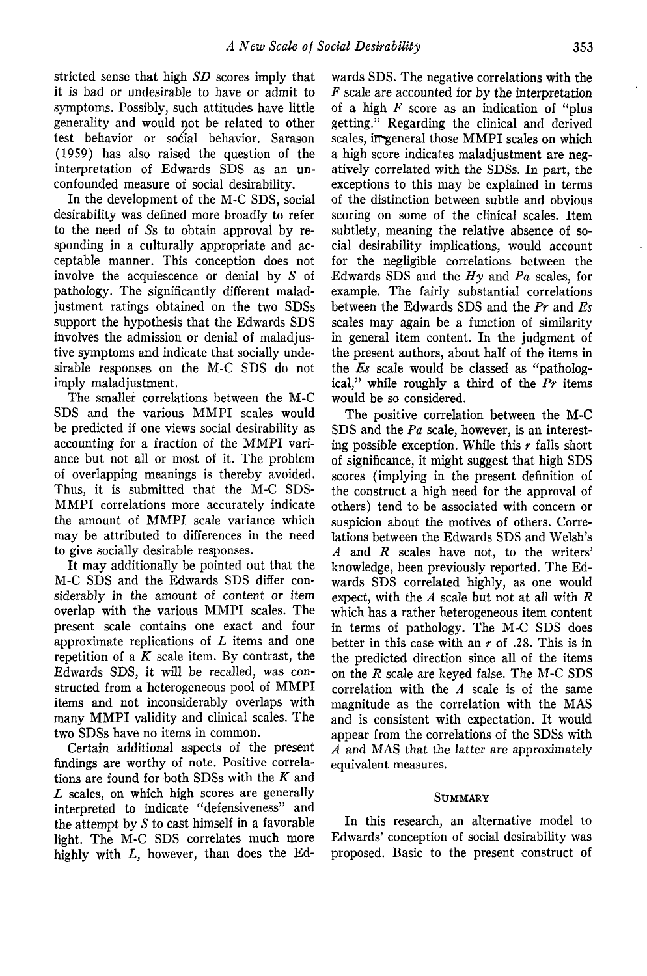stricted sense that high *SD* scores imply that it is bad or undesirable to have or admit to symptoms. Possibly, such attitudes have little generality and would not be related to other test behavior or social behavior. Sarason (1959) has also raised the question of the interpretation of Edwards SDS as an unconfounded measure of social desirability.

In the development of the M-C SDS, social desirability was defined more broadly to refer to the need of 5s to obtain approval by responding in a culturally appropriate and acceptable manner. This conception does not involve the acquiescence or denial by 5 of pathology. The significantly different maladjustment ratings obtained on the two SDSs support the hypothesis that the Edwards SDS involves the admission or denial of maladjustive symptoms and indicate that socially undesirable responses on the M-C SDS do not imply maladjustment.

The smaller correlations between the M-C SDS and the various MMPI scales would be predicted if one views social desirability as accounting for a fraction of the MMPI variance but not all or most of it. The problem of overlapping meanings is thereby avoided. Thus, it is submitted that the M-C SDS-MMPI correlations more accurately indicate the amount of MMPI scale variance which may be attributed to differences in the need to give socially desirable responses.

It may additionally be pointed out that the M-C SDS and the Edwards SDS differ considerably in the amount of content or item overlap with the various MMPI scales. The present scale contains one exact and four approximate replications of *L* items and one repetition of a *K* scale item. By contrast, the Edwards SDS, it will be recalled, was constructed from a heterogeneous pool of MMPI items and not inconsiderably overlaps with many MMPI validity and clinical scales. The two SDSs have no items in common.

Certain additional aspects of the present findings are worthy of note. Positive correlations are found for both SDSs with the *K* and *L* scales, on which high scores are generally interpreted to indicate "defensiveness" and the attempt by  $S$  to cast himself in a favorable light. The M-C SDS correlates much more highly with *L,* however, than does the Ed-

wards SDS. The negative correlations with the *F* scale are accounted for by the interpretation of a high *F* score as an indication of "plus getting." Regarding the clinical and derived scales, in-general those MMPI scales on which a high score indicates maladjustment are negatively correlated with the SDSs. In part, the exceptions to this may be explained in terms of the distinction between subtle and obvious scoring on some of the clinical scales. Item subtlety, meaning the relative absence of social desirability implications, would account for the negligible correlations between the Edwards SDS and the *Hy* and *Pa* scales, for example. The fairly substantial correlations between the Edwards SDS and the *Pr* and *Es* scales may again be a function of similarity in general item content. In the judgment of the present authors, about half of the items in the *Es* scale would be classed as "pathological," while roughly a third of the *Pr* items would be so considered.

The positive correlation between the M-C SDS and the *Pa* scale, however, is an interesting possible exception. While this *r* falls short of significance, it might suggest that high SDS scores (implying in the present definition of the construct a high need for the approval of others) tend to be associated with concern or suspicion about the motives of others. Correlations between the Edwards SDS and Welsh's *A* and *R* scales have not, to the writers' knowledge, been previously reported. The Edwards SDS correlated highly, as one would expect, with the *A* scale but not at all with *R* which has a rather heterogeneous item content in terms of pathology. The M-C SDS does better in this case with an *r* of .28. This is in the predicted direction since all of the items on the *R* scale are keyed false. The M-C SDS correlation with the *A* scale is of the same magnitude as the correlation with the MAS and is consistent with expectation. It would appear from the correlations of the SDSs with *A* and MAS that the latter are approximately equivalent measures.

## **SUMMARY**

In this research, an alternative model to Edwards' conception of social desirability was proposed. Basic to the present construct of